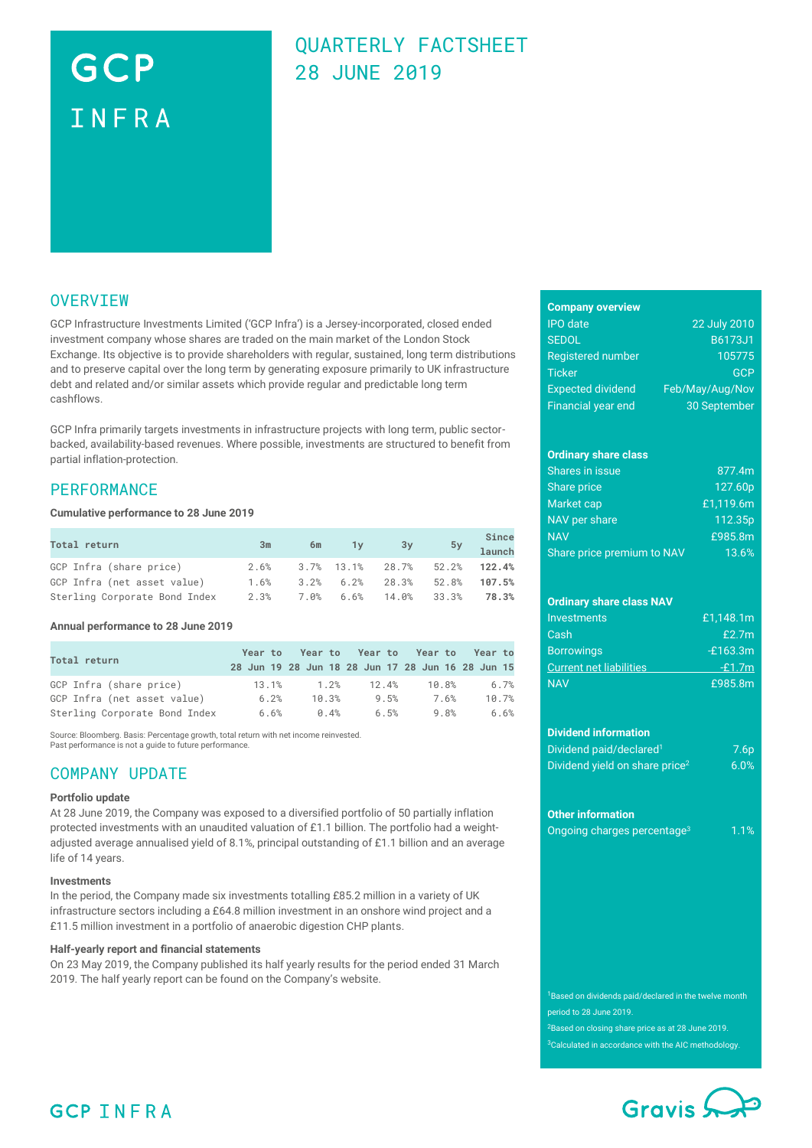# GCP INFRA

### QUARTERLY FACTSHEET 28 JUNE 2019

### **OVERVIEW**

GCP Infrastructure Investments Limited ('GCP Infra') is a Jersey-incorporated, closed ended investment company whose shares are traded on the main market of the London Stock Exchange. Its objective is to provide shareholders with regular, sustained, long term distributions and to preserve capital over the long term by generating exposure primarily to UK infrastructure debt and related and/or similar assets which provide regular and predictable long term cashflows.

GCP Infra primarily targets investments in infrastructure projects with long term, public sectorbacked, availability-based revenues. Where possible, investments are structured to benefit from partial inflation-protection.

### **PERFORMANCE**

#### **Cumulative performance to 28 June 2019**

| Total return                  | 3m   | 6m | 1y | 3y                               | Since<br>5y <b>Direct</b> |
|-------------------------------|------|----|----|----------------------------------|---------------------------|
| GCP Infra (share price)       | 2.6% |    |    | $3.7\%$ 13.1% 28.7% 52.2% 122.4% |                           |
| GCP Infra (net asset value)   | 1.6% |    |    | $3.2\%$ 6.2% 28.3% 52.8%         | 107.5%                    |
| Sterling Corporate Bond Index | 2.3% |    |    | 7.0% 6.6% 14.0% 33.3%            | 78.3%                     |

#### **Annual performance to 28 June 2019**

| Total return                  |       |       |       | Year to Year to Year to Year to Year to<br>28 Jun 19 28 Jun 18 28 Jun 17 28 Jun 16 28 Jun 15 |       |
|-------------------------------|-------|-------|-------|----------------------------------------------------------------------------------------------|-------|
| GCP Infra (share price)       | 13.1% | 1.2%  | 12.4% | 10.8%                                                                                        | 6.7%  |
| GCP Infra (net asset value)   | 6.2%  | 10.3% | 9.5%  | 7.6%                                                                                         | 10.7% |
| Sterling Corporate Bond Index | 6.6%  | 0.4%  | 6.5%  | 9.8%                                                                                         | 6.6%  |

Source: Bloomberg. Basis: Percentage growth, total return with net income reinvested. Past performance is not a guide to future performance.

### COMPANY UPDATE

#### **Portfolio update**

At 28 June 2019, the Company was exposed to a diversified portfolio of 50 partially inflation protected investments with an unaudited valuation of £1.1 billion. The portfolio had a weightadjusted average annualised yield of 8.1%, principal outstanding of £1.1 billion and an average life of 14 years.

#### **Investments**

In the period, the Company made six investments totalling £85.2 million in a variety of UK infrastructure sectors including a £64.8 million investment in an onshore wind project and a £11.5 million investment in a portfolio of anaerobic digestion CHP plants.

#### **Half-yearly report and financial statements**

On 23 May 2019, the Company published its half yearly results for the period ended 31 March 2019. The half yearly report can be found on the Company's website.

### **Company overview**

| <b>IPO</b> date           | 22 July 2010    |
|---------------------------|-----------------|
| <b>SEDOL</b>              | <b>B6173J1</b>  |
| <b>Registered number</b>  | 105775          |
| <b>Ticker</b>             | <b>GCP</b>      |
| <b>Expected dividend</b>  | Feb/May/Aug/Nov |
| <b>Financial year end</b> | 30 September    |

#### **Ordinary share class**

| Shares in issue            | 877.4m    |
|----------------------------|-----------|
| Share price                | 127.60p   |
| Market cap                 | £1,119.6m |
| NAV per share              | 112.35p   |
| <b>NAV</b>                 | £985.8m   |
| Share price premium to NAV | 13.6%     |

#### **Ordinary share class NAV**

| <b>Investments</b>      | £1.148.1m  |
|-------------------------|------------|
| Cash                    | £2.7m      |
| <b>Borrowings</b>       | $-£163.3m$ |
| Current net liabilities | $-£1.7m$   |
| <b>NAV</b>              | £985.8m    |

#### **Dividend information**

| Dividend paid/declared <sup>1</sup>        | 7.6 <sub>p</sub> |
|--------------------------------------------|------------------|
| Dividend yield on share price <sup>2</sup> | $6.0\%$          |

#### **Other information**

| Ongoing charges percentage <sup>3</sup> | 1.1% |
|-----------------------------------------|------|
|                                         |      |

<sup>1</sup>Based on dividends paid/declared in the twelve month period to 28 June 2019.

<sup>2</sup>Based on closing share price as at 28 June 2019.

<sup>3</sup>Calculated in accordance with the AIC methodology.